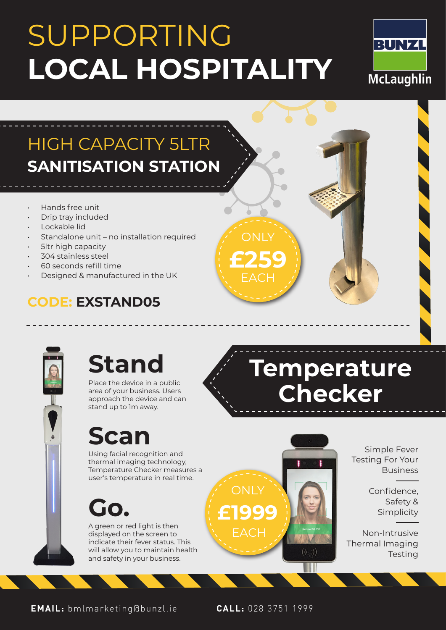# SUPPORTING **LOCAL HOSPITALITY**



### HIGH CAPACITY 5LTR **SANITISATION STATION**

- Hands free unit
- Drip tray included
- Lockable lid
- Standalone unit no installation required
- 5ltr high capacity
- 304 stainless steel
- 60 seconds refill time
- Designed & manufactured in the UK

#### **CODE: EXSTAND05**



## **Stand**

Place the device in a public area of your business. Users approach the device and can stand up to 1m away.

### **Scan**

Using facial recognition and thermal imaging technology, Temperature Checker measures a user's temperature in real time.

**Go.**

A green or red light is then displayed on the screen to indicate their fever status. This will allow you to maintain health and safety in your business.

**Temperature Checker**



ONI V

**£259**

Simple Fever Testing For Your Business

> Confidence, Safety & Simplicity

Non-Intrusive Thermal Imaging **Testing** 

**EMAIL:** bmlmarketing@bunzl.ie **CALL:** 028 3751 1999